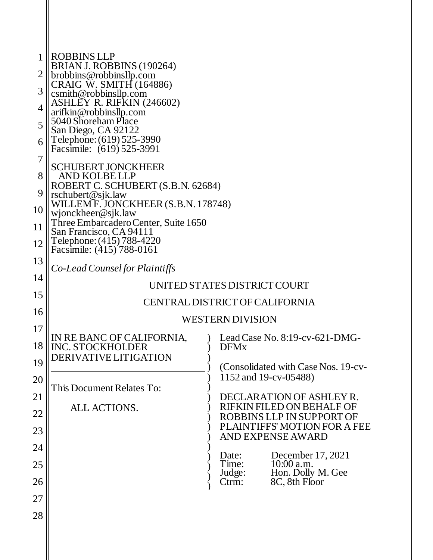| 1  | <b>ROBBINS LLP</b>                                        |                                                          |  |  |  |  |
|----|-----------------------------------------------------------|----------------------------------------------------------|--|--|--|--|
| 2  | BRIAN J. ROBBINS (190264)<br>brobbins@robbinsllp.com      |                                                          |  |  |  |  |
| 3  | CRAIG W. SMITH (164886)                                   |                                                          |  |  |  |  |
|    | csmith@robbinsllp.com<br><b>ASHLEY R. RIFKIN (246602)</b> |                                                          |  |  |  |  |
| 4  | arifkin@robbinsllp.com<br>5040 Shoreham Place             |                                                          |  |  |  |  |
| 5  | San Diego, CA 92122                                       |                                                          |  |  |  |  |
| 6  | Telephone: (619) 525-3990<br>Facsimile: (619) 525-3991    |                                                          |  |  |  |  |
| 7  | <b>SCHUBERT JONCKHEER</b>                                 |                                                          |  |  |  |  |
| 8  | AND KOLBE LLP                                             |                                                          |  |  |  |  |
| 9  | ROBERT C. SCHUBERT (S.B.N. 62684)<br>rschubert@sjk.law    |                                                          |  |  |  |  |
| 10 | WILLEM F. JONCKHEER (S.B.N. 178748)<br>wjonckheer@sjk.law |                                                          |  |  |  |  |
| 11 | Three Embarcadero Center, Suite 1650                      |                                                          |  |  |  |  |
| 12 | San Francisco, CA 94111<br>Telephone: (415) 788-4220      |                                                          |  |  |  |  |
| 13 | Facsimile: (415) 788-0161                                 |                                                          |  |  |  |  |
| 14 | Co-Lead Counsel for Plaintiffs                            |                                                          |  |  |  |  |
|    |                                                           | UNITED STATES DISTRICT COURT                             |  |  |  |  |
| 15 | CENTRAL DISTRICT OF CALIFORNIA                            |                                                          |  |  |  |  |
| 16 | <b>WESTERN DIVISION</b>                                   |                                                          |  |  |  |  |
| 17 | IN RE BANC OF CALIFORNIA,                                 | Lead Case No. $8:19$ -cv-621-DMG-                        |  |  |  |  |
| 18 | <b>INC. STOCKHOLDER</b><br>DERIVATIVE LITIGATION          | <b>DFMx</b>                                              |  |  |  |  |
| 19 |                                                           | (Consolidated with Case Nos. 19-cv-                      |  |  |  |  |
| 20 | This Document Relates To:                                 | 1152 and 19-cv-05488)                                    |  |  |  |  |
| 21 |                                                           | DECLARATION OF ASHLEY R.                                 |  |  |  |  |
| 22 | ALL ACTIONS.                                              | RIFKIN FILED ON BEHALF OF<br>ROBBINS LLP IN SUPPORT OF   |  |  |  |  |
| 23 |                                                           | PLAINTIFFS' MOTION FOR A FEE<br><b>AND EXPENSE AWARD</b> |  |  |  |  |
| 24 |                                                           |                                                          |  |  |  |  |
| 25 |                                                           | December 17, 2021<br>Date:<br>10:00 a.m.<br>Time:        |  |  |  |  |
| 26 |                                                           | Hon. Dolly M. Gee<br>Judge:<br>8C, 8th Floor<br>Ctrm:    |  |  |  |  |
| 27 |                                                           |                                                          |  |  |  |  |
| 28 |                                                           |                                                          |  |  |  |  |
|    |                                                           |                                                          |  |  |  |  |
|    |                                                           |                                                          |  |  |  |  |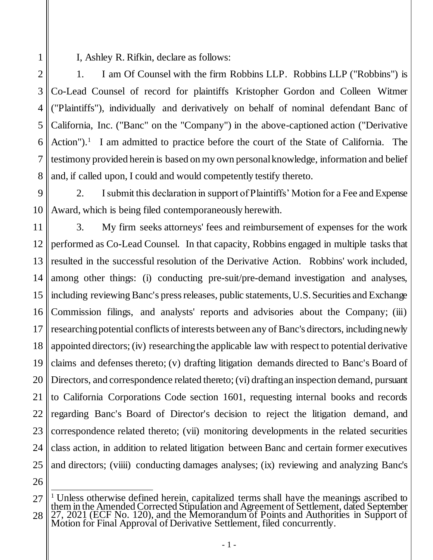I, Ashley R. Rifkin, declare as follows:

2 4 5 6 7 8 1. I am Of Counsel with the firm Robbins LLP. Robbins LLP ("Robbins") is Co-Lead Counsel of record for plaintiffs Kristopher Gordon and Colleen Witmer ("Plaintiffs"), individually and derivatively on behalf of nominal defendant Banc of California, Inc. ("Banc" on the "Company") in the above-captioned action ("Derivative Action").<sup>1</sup> I am admitted to practice before the court of the State of California. The testimony provided herein is based on my own personal knowledge, information and belief and, if called upon, I could and would competently testify thereto.

 $\overline{Q}$ 10 2. I submit this declaration in support of Plaintiffs' Motion for a Fee and Expense Award, which is being filed contemporaneously herewith.

11 12 13 14 15 16 17 18 19 20 21 22 23 24 25 3. My firm seeks attorneys' fees and reimbursement of expenses for the work performed as Co-Lead Counsel. In that capacity, Robbins engaged in multiple tasks that resulted in the successful resolution of the Derivative Action. Robbins' work included, among other things: (i) conducting pre-suit/pre-demand investigation and analyses, including reviewing Banc's press releases, public statements, U.S. Securities and Exchange Commission filings, and analysts' reports and advisories about the Company; (iii) researching potential conflicts of interests between any of Banc's directors, including newly appointed directors; (iv) researching the applicable law with respect to potential derivative claims and defenses thereto; (v) drafting litigation demands directed to Banc's Board of Directors, and correspondence related thereto; (vi) drafting an inspection demand, pursuant to California Corporations Code section 1601, requesting internal books and records regarding Banc's Board of Director's decision to reject the litigation demand, and correspondence related thereto; (vii) monitoring developments in the related securities class action, in addition to related litigation between Banc and certain former executives and directors; (viiii) conducting damages analyses; (ix) reviewing and analyzing Banc's

26

3

<sup>27</sup> 28 j <sup>1</sup> Unless otherwise defined herein, capitalized terms shall have the meanings ascribed to them in the Amended Corrected Stipulation and Agreement of Settlement, dated September 27, 2021 (ECF No. 120), and the Memorandum of Points and Authorities in Support of Motion for Final Approval of Derivative Settlement, filed concurrently.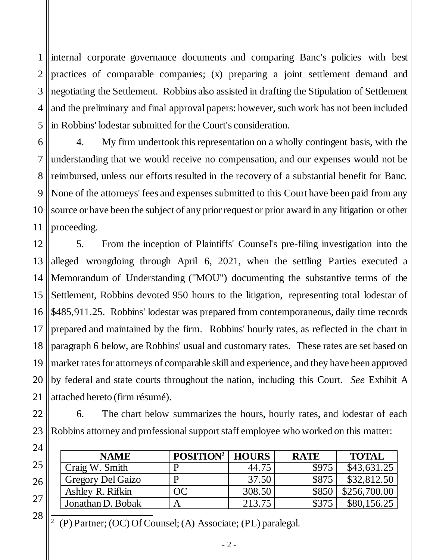1 2 3 4 5 internal corporate governance documents and comparing Banc's policies with best practices of comparable companies; (x) preparing a joint settlement demand and negotiating the Settlement. Robbins also assisted in drafting the Stipulation of Settlement and the preliminary and final approval papers: however, such work has not been included in Robbins' lodestar submitted for the Court's consideration.

6 7 8 9 10 11 4. My firm undertook this representation on a wholly contingent basis, with the understanding that we would receive no compensation, and our expenses would not be reimbursed, unless our efforts resulted in the recovery of a substantial benefit for Banc. None of the attorneys' fees and expenses submitted to this Court have been paid from any source or have been the subject of any prior request or prior award in any litigation or other proceeding.

12 13 14 15 16 17 18 19 20 21 5. From the inception of Plaintiffs' Counsel's pre-filing investigation into the alleged wrongdoing through April 6, 2021, when the settling Parties executed a Memorandum of Understanding ("MOU") documenting the substantive terms of the Settlement, Robbins devoted 950 hours to the litigation, representing total lodestar of \$485,911.25. Robbins' lodestar was prepared from contemporaneous, daily time records prepared and maintained by the firm. Robbins' hourly rates, as reflected in the chart in paragraph 6 below, are Robbins' usual and customary rates. These rates are set based on market rates for attorneys of comparable skill and experience, and they have been approved by federal and state courts throughout the nation, including this Court. *See* Exhibit A attached hereto (firm résumé).

22 23 6. The chart below summarizes the hours, hourly rates, and lodestar of each Robbins attorney and professional support staff employee who worked on this matter:

| <b>NAME</b>              | <b>POSITION<sup>2</sup></b> | <b>HOURS</b> | <b>RATE</b> | <b>TOTAL</b> |
|--------------------------|-----------------------------|--------------|-------------|--------------|
| Craig W. Smith           |                             | 44.75        | \$975       | \$43,631.25  |
| <b>Gregory Del Gaizo</b> |                             | 37.50        | \$875       | \$32,812.50  |
| Ashley R. Rifkin         | ОC                          | 308.50       |             | \$256,700.00 |
| Jonathan D. Bobak        |                             | 213.75       |             | \$80,156.25  |

2 (P) Partner; (OC) Of Counsel; (A) Associate; (PL) paralegal.

24

25

26

27

28

- 2 -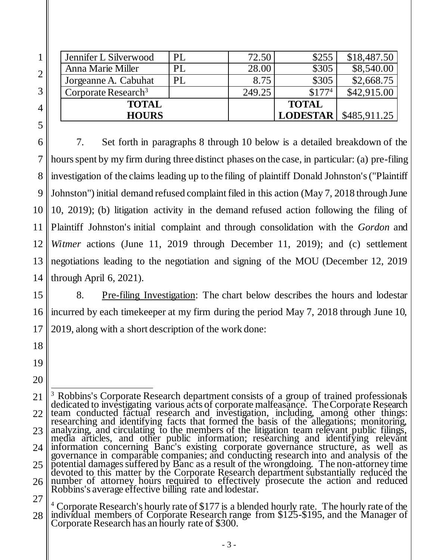| <b>HOURS</b>                    |     |        | <b>LODESTAR</b> | \$485,911.25 |
|---------------------------------|-----|--------|-----------------|--------------|
| <b>TOTAL</b>                    |     |        | <b>TOTAL</b>    |              |
| Corporate Research <sup>3</sup> |     | 249.25 | $$177^4$        | \$42,915.00  |
| Jorgeanne A. Cabuhat            | PL  | 8.75   | \$305           | \$2,668.75   |
| Anna Marie Miller               | PL. | 28.00  | \$305           | \$8,540.00   |
| Jennifer L Silverwood           | PL  | 72.50  | \$255           | \$18,487.50  |

7. Set forth in paragraphs 8 through 10 below is a detailed breakdown of the hours spent by my firm during three distinct phases on the case, in particular: (a) pre-filing investigation of the claims leading up to the filing of plaintiff Donald Johnston's ("Plaintiff Johnston") initial demand refused complaint filed in this action (May 7, 2018 through June 10, 2019); (b) litigation activity in the demand refused action following the filing of Plaintiff Johnston's initial complaint and through consolidation with the *Gordon* and *Witmer* actions (June 11, 2019 through December 11, 2019); and (c) settlement negotiations leading to the negotiation and signing of the MOU (December 12, 2019 through April 6, 2021).

8. Pre-filing Investigation: The chart below describes the hours and lodestar incurred by each timekeeper at my firm during the period May 7, 2018 through June 10, 2019, along with a short description of the work done:

19

<sup>21</sup> 22 23 24 25 26 l <sup>3</sup> Robbins's Corporate Research department consists of a group of trained professionals dedicated to investigating various acts of corporate malfeasance. The Corporate Research team conducted factual research and investigation, including, among other things: researching and identifying facts that formed the basis of the allegations; monitoring, analyzing, and circulating to the members of the litigation team relevant public filings, media articles, and other public information; researching and identifying relevant information concerning Banc's existing corporate governance structure, as well as governance in comparable companies; and conducting research into and analysis of the potential damages suffered by Banc as a result of the wrongdoing. The non-attorney time devoted to this matter by the Corporate Research department substantially reduced the number of attorney hours required to effectively prosecute the action and reduced Robbins's average effective billing rate and lodestar.

<sup>28</sup> <sup>4</sup> Corporate Research's hourly rate of \$177 is a blended hourly rate. The hourly rate of the individual members of Corporate Research range from \$125-\$195, and the Manager of Corporate Research has an hourly rate of \$300.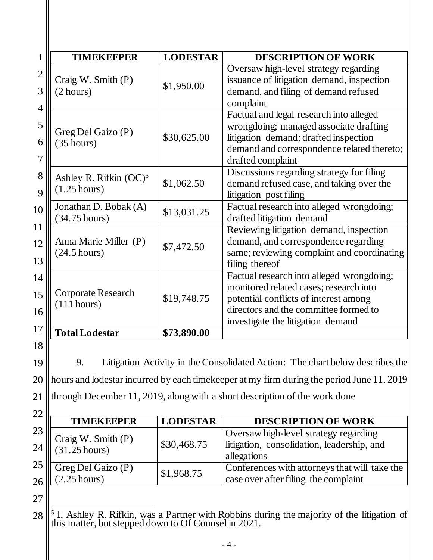| <b>TIMEKEEPER</b>                                   | <b>LODESTAR</b> | <b>DESCRIPTION OF WORK</b>                                                                                                                                                                                                                                                                                                                                                                 |  |
|-----------------------------------------------------|-----------------|--------------------------------------------------------------------------------------------------------------------------------------------------------------------------------------------------------------------------------------------------------------------------------------------------------------------------------------------------------------------------------------------|--|
| Craig W. Smith (P)<br>(2 hours)                     | \$1,950.00      | Oversaw high-level strategy regarding<br>issuance of litigation demand, inspection<br>demand, and filing of demand refused<br>complaint                                                                                                                                                                                                                                                    |  |
| Greg Del Gaizo (P)<br>(35 hours)                    | \$30,625.00     | Factual and legal research into alleged<br>wrongdoing; managed associate drafting<br>litigation demand; drafted inspection<br>demand and correspondence related thereto;<br>drafted complaint<br>Discussions regarding strategy for filing<br>demand refused case, and taking over the<br>litigation post filing<br>Factual research into alleged wrongdoing;<br>drafted litigation demand |  |
| Ashley R. Rifkin $(OC)^5$<br>$(1.25 \text{ hours})$ | \$1,062.50      |                                                                                                                                                                                                                                                                                                                                                                                            |  |
| Jonathan D. Bobak (A)<br>$(34.75 \text{ hours})$    | \$13,031.25     |                                                                                                                                                                                                                                                                                                                                                                                            |  |
| Anna Marie Miller (P)<br>$(24.5 \text{ hours})$     | \$7,472.50      | Reviewing litigation demand, inspection<br>demand, and correspondence regarding<br>same; reviewing complaint and coordinating<br>filing thereof                                                                                                                                                                                                                                            |  |
| <b>Corporate Research</b><br>(111 hours)            | \$19,748.75     | Factual research into alleged wrongdoing;<br>monitored related cases; research into<br>potential conflicts of interest among<br>directors and the committee formed to<br>investigate the litigation demand                                                                                                                                                                                 |  |
| <b>Total Lodestar</b>                               | \$73,890.00     |                                                                                                                                                                                                                                                                                                                                                                                            |  |

19 20 21 9. Litigation Activity in the Consolidated Action: The chart below describes the hours and lodestar incurred by each timekeeper at my firm during the period June 11, 2019 through December 11, 2019, along with a short description of the work done

| 22   |                                     |                 |                                               |
|------|-------------------------------------|-----------------|-----------------------------------------------|
|      | <b>TIMEKEEPER</b>                   | <b>LODESTAR</b> | <b>DESCRIPTION OF WORK</b>                    |
| 23   |                                     |                 | Oversaw high-level strategy regarding         |
| $24$ | Craig W. Smith (P)<br>(31.25 hours) | \$30,468.75     | litigation, consolidation, leadership, and    |
|      |                                     |                 | allegations                                   |
| $25$ | Greg Del Gaizo (P)<br>(2.25 hours)  | \$1,968.75      | Conferences with attorneys that will take the |
| $26$ |                                     |                 | case over after filing the complaint          |

28 <sup>5</sup> I, Ashley R. Rifkin, was a Partner with Robbins during the majority of the litigation of this matter, but stepped down to Of Counsel in 2021.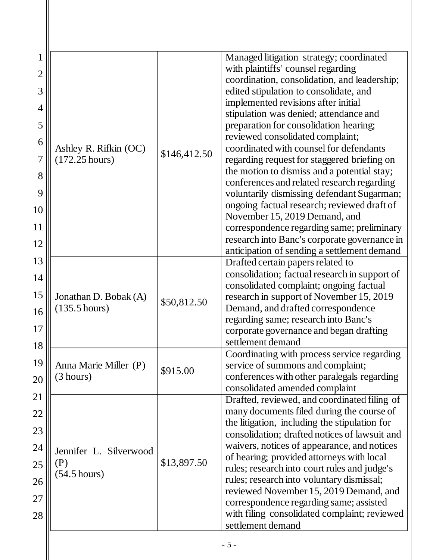| 1              |                                                  |              | Managed litigation strategy; coordinated                                                  |  |  |
|----------------|--------------------------------------------------|--------------|-------------------------------------------------------------------------------------------|--|--|
| $\overline{2}$ |                                                  |              | with plaintiffs' counsel regarding                                                        |  |  |
| 3              |                                                  |              | coordination, consolidation, and leadership;<br>edited stipulation to consolidate, and    |  |  |
|                |                                                  |              | implemented revisions after initial                                                       |  |  |
| 4              |                                                  |              | stipulation was denied; attendance and                                                    |  |  |
| 5              |                                                  | \$146,412.50 | preparation for consolidation hearing;                                                    |  |  |
| 6              |                                                  |              | reviewed consolidated complaint;                                                          |  |  |
|                | Ashley R. Rifkin (OC)                            |              | coordinated with counsel for defendants                                                   |  |  |
| 7              | $(172.25 \text{ hours})$                         |              | regarding request for staggered briefing on                                               |  |  |
| 8              |                                                  |              | the motion to dismiss and a potential stay;                                               |  |  |
| 9              |                                                  |              | conferences and related research regarding<br>voluntarily dismissing defendant Sugarman;  |  |  |
|                |                                                  |              | ongoing factual research; reviewed draft of                                               |  |  |
| 10             |                                                  |              | November 15, 2019 Demand, and                                                             |  |  |
| 11             |                                                  |              | correspondence regarding same; preliminary                                                |  |  |
| 12             |                                                  |              | research into Banc's corporate governance in                                              |  |  |
|                |                                                  |              | anticipation of sending a settlement demand                                               |  |  |
| 13             |                                                  |              | Drafted certain papers related to                                                         |  |  |
| 14             |                                                  |              | consolidation; factual research in support of<br>consolidated complaint; ongoing factual  |  |  |
| 15             | Jonathan D. Bobak (A)<br>$(135.5 \text{ hours})$ | \$50,812.50  | research in support of November 15, 2019                                                  |  |  |
| 16             |                                                  |              | Demand, and drafted correspondence                                                        |  |  |
|                |                                                  |              | regarding same; research into Banc's                                                      |  |  |
| 17             |                                                  |              | corporate governance and began drafting                                                   |  |  |
| 18             |                                                  |              | settlement demand                                                                         |  |  |
| 19             |                                                  |              | Coordinating with process service regarding                                               |  |  |
|                | Anna Marie Miller (P)<br>(3 hours)               | \$915.00     | service of summons and complaint;<br>conferences with other paralegals regarding          |  |  |
| 20             |                                                  |              | consolidated amended complaint                                                            |  |  |
| 21             |                                                  |              | Drafted, reviewed, and coordinated filing of                                              |  |  |
| 22             |                                                  |              | many documents filed during the course of                                                 |  |  |
|                |                                                  |              | the litigation, including the stipulation for                                             |  |  |
| 23             | Jennifer L. Silverwood<br>(P)                    |              | consolidation; drafted notices of lawsuit and                                             |  |  |
| 24             |                                                  |              | waivers, notices of appearance, and notices                                               |  |  |
| 25             |                                                  | \$13,897.50  | of hearing; provided attorneys with local<br>rules; research into court rules and judge's |  |  |
|                | $(54.5 \text{ hours})$                           |              | rules; research into voluntary dismissal;                                                 |  |  |
| 26             |                                                  |              | reviewed November 15, 2019 Demand, and                                                    |  |  |
| 27             |                                                  |              | correspondence regarding same; assisted                                                   |  |  |
| 28             |                                                  |              | with filing consolidated complaint; reviewed                                              |  |  |
|                |                                                  |              | settlement demand                                                                         |  |  |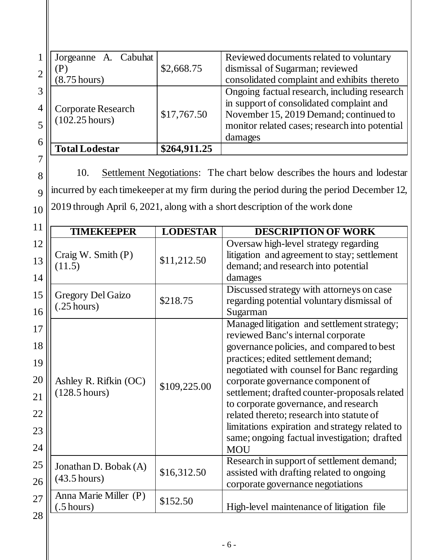| $\mathbf 1$<br>$\overline{2}$                | Cabuhat<br>Jorgeanne A.<br>(P)<br>$(8.75 \text{ hours})$ | \$2,668.75      | Reviewed documents related to voluntary<br>dismissal of Sugarman; reviewed<br>consolidated complaint and exhibits thereto                                                                                                                                                                                                                                                                                                                                                                                        |
|----------------------------------------------|----------------------------------------------------------|-----------------|------------------------------------------------------------------------------------------------------------------------------------------------------------------------------------------------------------------------------------------------------------------------------------------------------------------------------------------------------------------------------------------------------------------------------------------------------------------------------------------------------------------|
| 3<br>4<br>5                                  | <b>Corporate Research</b><br>$(102.25 \text{ hours})$    | \$17,767.50     | Ongoing factual research, including research<br>in support of consolidated complaint and<br>November 15, 2019 Demand; continued to<br>monitor related cases; research into potential<br>damages                                                                                                                                                                                                                                                                                                                  |
| 6                                            | <b>Total Lodestar</b>                                    | \$264,911.25    |                                                                                                                                                                                                                                                                                                                                                                                                                                                                                                                  |
| 7<br>8<br>$\mathbf Q$<br>10                  | 10.                                                      |                 | Settlement Negotiations: The chart below describes the hours and lodestar<br>incurred by each time keeper at my firm during the period during the period December 12,<br>2019 through April 6, 2021, along with a short description of the work done                                                                                                                                                                                                                                                             |
| 11                                           | <b>TIMEKEEPER</b>                                        | <b>LODESTAR</b> | <b>DESCRIPTION OF WORK</b>                                                                                                                                                                                                                                                                                                                                                                                                                                                                                       |
| 12<br>13<br>14                               | Craig W. Smith (P)<br>(11.5)                             | \$11,212.50     | Oversaw high-level strategy regarding<br>litigation and agreement to stay; settlement<br>demand; and research into potential<br>damages                                                                                                                                                                                                                                                                                                                                                                          |
| 15<br>16                                     | <b>Gregory Del Gaizo</b><br>$(.25 \text{ hours})$        | \$218.75        | Discussed strategy with attorneys on case<br>regarding potential voluntary dismissal of<br>Sugarman                                                                                                                                                                                                                                                                                                                                                                                                              |
| 17<br>18<br>19<br>20<br>21<br>22<br>23<br>24 | Ashley R. Rifkin (OC)<br>$(128.5 \text{ hours})$         | \$109,225.00    | Managed litigation and settlement strategy;<br>reviewed Banc's internal corporate<br>governance policies, and compared to best<br>practices; edited settlement demand;<br>negotiated with counsel for Banc regarding<br>corporate governance component of<br>settlement; drafted counter-proposals related<br>to corporate governance, and research<br>related thereto; research into statute of<br>limitations expiration and strategy related to<br>same; ongoing factual investigation; drafted<br><b>MOU</b> |
| 25<br>26                                     | Jonathan D. Bobak (A)<br>$(43.5 \text{ hours})$          | \$16,312.50     | Research in support of settlement demand;<br>assisted with drafting related to ongoing<br>corporate governance negotiations                                                                                                                                                                                                                                                                                                                                                                                      |
| 27<br>28                                     | Anna Marie Miller (P)<br>$(.5 \text{ hours})$            | \$152.50        | High-level maintenance of litigation file                                                                                                                                                                                                                                                                                                                                                                                                                                                                        |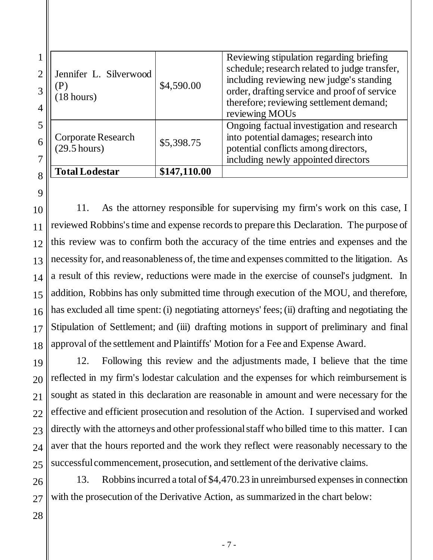| <b>Total Lodestar</b>                        | \$147,110.00 |                                                                                                                                                                                                                                                    |
|----------------------------------------------|--------------|----------------------------------------------------------------------------------------------------------------------------------------------------------------------------------------------------------------------------------------------------|
| Corporate Research<br>$(29.5 \text{ hours})$ | \$5,398.75   | Ongoing factual investigation and research<br>into potential damages; research into<br>potential conflicts among directors,<br>including newly appointed directors                                                                                 |
| Jennifer L. Silverwood<br>18 hours)          | \$4,590.00   | Reviewing stipulation regarding briefing<br>schedule; research related to judge transfer,<br>including reviewing new judge's standing<br>order, drafting service and proof of service<br>therefore; reviewing settlement demand;<br>reviewing MOUs |

10 11 12 13 14 15 16 17 18 11. As the attorney responsible for supervising my firm's work on this case, I reviewed Robbins'stime and expense records to prepare this Declaration. The purpose of this review was to confirm both the accuracy of the time entries and expenses and the necessity for, and reasonableness of, the time and expenses committed to the litigation. As a result of this review, reductions were made in the exercise of counsel's judgment. In addition, Robbins has only submitted time through execution of the MOU, and therefore, has excluded all time spent: (i) negotiating attorneys' fees; (ii) drafting and negotiating the Stipulation of Settlement; and (iii) drafting motions in support of preliminary and final approval of the settlement and Plaintiffs' Motion for a Fee and Expense Award.

19 20 21 22 23 24 25 12. Following this review and the adjustments made, I believe that the time reflected in my firm's lodestar calculation and the expenses for which reimbursement is sought as stated in this declaration are reasonable in amount and were necessary for the effective and efficient prosecution and resolution of the Action. I supervised and worked directly with the attorneys and other professional staff who billed time to this matter. I can aver that the hours reported and the work they reflect were reasonably necessary to the successful commencement, prosecution, and settlement of the derivative claims.

26 13. Robbinsincurred a total of \$4,470.23 in unreimbursed expenses in connection with the prosecution of the Derivative Action, as summarized in the chart below: